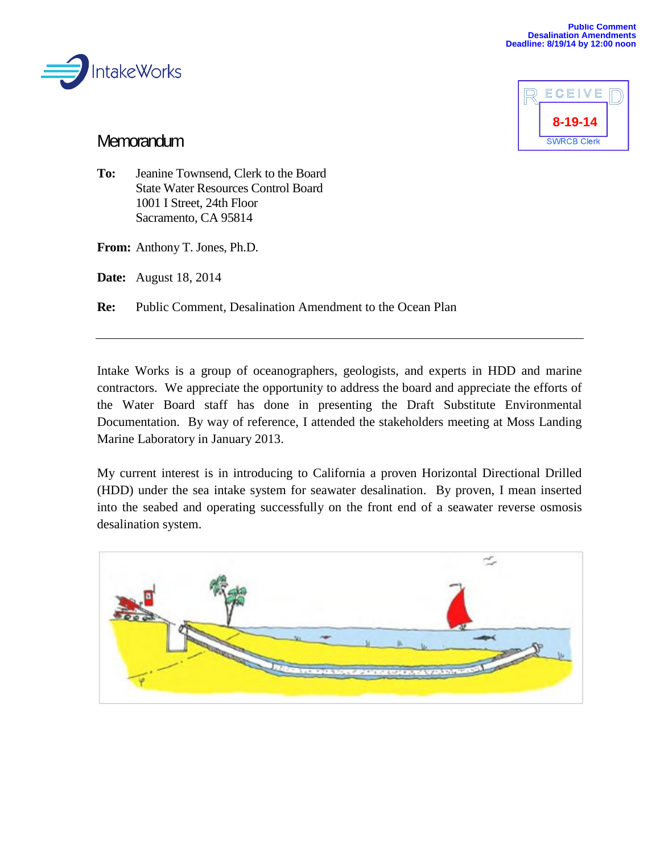



## **Memorandum**

**To:** Jeanine Townsend, Clerk to the Board State Water Resources Control Board 1001 I Street, 24th Floor Sacramento, CA 95814

**From:** Anthony T. Jones, Ph.D.

**Date:** August 18, 2014

**Re:** Public Comment, Desalination Amendment to the Ocean Plan

Intake Works is a group of oceanographers, geologists, and experts in HDD and marine contractors. We appreciate the opportunity to address the board and appreciate the efforts of the Water Board staff has done in presenting the Draft Substitute Environmental Documentation. By way of reference, I attended the stakeholders meeting at Moss Landing Marine Laboratory in January 2013.

My current interest is in introducing to California a proven Horizontal Directional Drilled (HDD) under the sea intake system for seawater desalination. By proven, I mean inserted into the seabed and operating successfully on the front end of a seawater reverse osmosis desalination system.

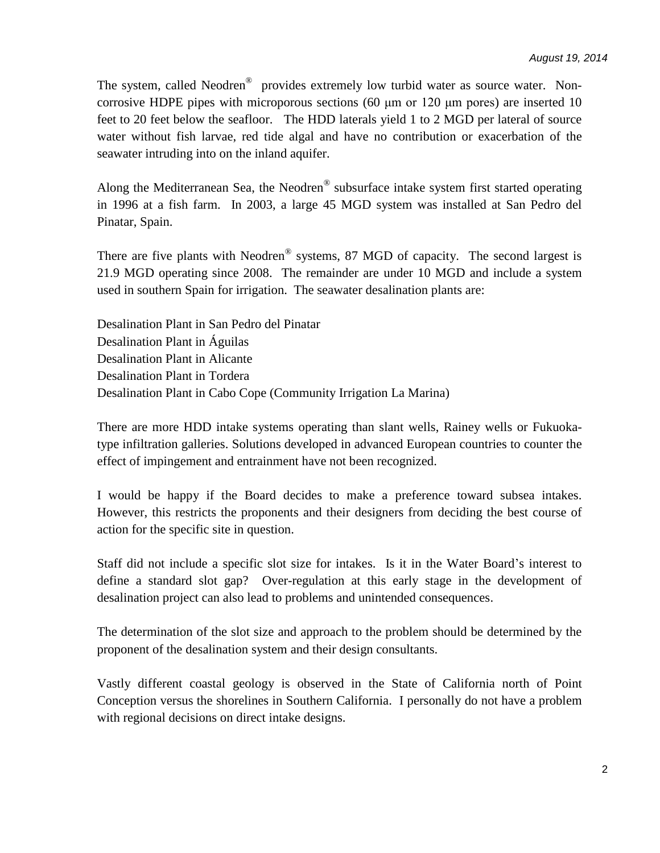The system, called Neodren<sup>®</sup> provides extremely low turbid water as source water. Noncorrosive HDPE pipes with microporous sections (60 μm or 120 μm pores) are inserted 10 feet to 20 feet below the seafloor. The HDD laterals yield 1 to 2 MGD per lateral of source water without fish larvae, red tide algal and have no contribution or exacerbation of the seawater intruding into on the inland aquifer.

Along the Mediterranean Sea, the Neodren® subsurface intake system first started operating in 1996 at a fish farm. In 2003, a large 45 MGD system was installed at San Pedro del Pinatar, Spain.

There are five plants with Neodren<sup>®</sup> systems, 87 MGD of capacity. The second largest is 21.9 MGD operating since 2008. The remainder are under 10 MGD and include a system used in southern Spain for irrigation. The seawater desalination plants are:

Desalination Plant in San Pedro del Pinatar Desalination Plant in Águilas Desalination Plant in Alicante Desalination Plant in Tordera Desalination Plant in Cabo Cope (Community Irrigation La Marina)

There are more HDD intake systems operating than slant wells, Rainey wells or Fukuokatype infiltration galleries. Solutions developed in advanced European countries to counter the effect of impingement and entrainment have not been recognized.

I would be happy if the Board decides to make a preference toward subsea intakes. However, this restricts the proponents and their designers from deciding the best course of action for the specific site in question.

Staff did not include a specific slot size for intakes. Is it in the Water Board's interest to define a standard slot gap? Over-regulation at this early stage in the development of desalination project can also lead to problems and unintended consequences.

The determination of the slot size and approach to the problem should be determined by the proponent of the desalination system and their design consultants.

Vastly different coastal geology is observed in the State of California north of Point Conception versus the shorelines in Southern California. I personally do not have a problem with regional decisions on direct intake designs.